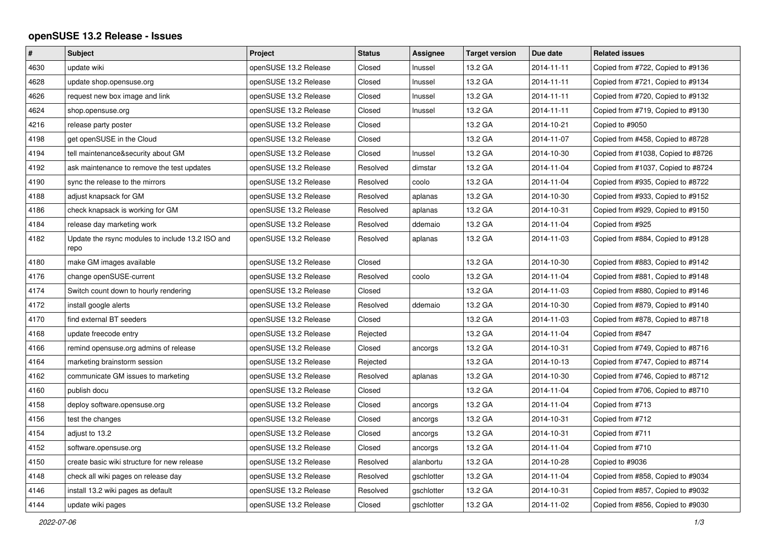## **openSUSE 13.2 Release - Issues**

| $\#$ | <b>Subject</b>                                           | Project               | <b>Status</b> | Assignee   | <b>Target version</b> | Due date   | <b>Related issues</b>              |
|------|----------------------------------------------------------|-----------------------|---------------|------------|-----------------------|------------|------------------------------------|
| 4630 | update wiki                                              | openSUSE 13.2 Release | Closed        | Inussel    | 13.2 GA               | 2014-11-11 | Copied from #722, Copied to #9136  |
| 4628 | update shop.opensuse.org                                 | openSUSE 13.2 Release | Closed        | Inussel    | 13.2 GA               | 2014-11-11 | Copied from #721, Copied to #9134  |
| 4626 | request new box image and link                           | openSUSE 13.2 Release | Closed        | Inussel    | 13.2 GA               | 2014-11-11 | Copied from #720, Copied to #9132  |
| 4624 | shop.opensuse.org                                        | openSUSE 13.2 Release | Closed        | Inussel    | 13.2 GA               | 2014-11-11 | Copied from #719, Copied to #9130  |
| 4216 | release party poster                                     | openSUSE 13.2 Release | Closed        |            | 13.2 GA               | 2014-10-21 | Copied to #9050                    |
| 4198 | get openSUSE in the Cloud                                | openSUSE 13.2 Release | Closed        |            | 13.2 GA               | 2014-11-07 | Copied from #458, Copied to #8728  |
| 4194 | tell maintenance&security about GM                       | openSUSE 13.2 Release | Closed        | Inussel    | 13.2 GA               | 2014-10-30 | Copied from #1038, Copied to #8726 |
| 4192 | ask maintenance to remove the test updates               | openSUSE 13.2 Release | Resolved      | dimstar    | 13.2 GA               | 2014-11-04 | Copied from #1037, Copied to #8724 |
| 4190 | sync the release to the mirrors                          | openSUSE 13.2 Release | Resolved      | coolo      | 13.2 GA               | 2014-11-04 | Copied from #935, Copied to #8722  |
| 4188 | adjust knapsack for GM                                   | openSUSE 13.2 Release | Resolved      | aplanas    | 13.2 GA               | 2014-10-30 | Copied from #933, Copied to #9152  |
| 4186 | check knapsack is working for GM                         | openSUSE 13.2 Release | Resolved      | aplanas    | 13.2 GA               | 2014-10-31 | Copied from #929, Copied to #9150  |
| 4184 | release day marketing work                               | openSUSE 13.2 Release | Resolved      | ddemaio    | 13.2 GA               | 2014-11-04 | Copied from #925                   |
| 4182 | Update the rsync modules to include 13.2 ISO and<br>repo | openSUSE 13.2 Release | Resolved      | aplanas    | 13.2 GA               | 2014-11-03 | Copied from #884, Copied to #9128  |
| 4180 | make GM images available                                 | openSUSE 13.2 Release | Closed        |            | 13.2 GA               | 2014-10-30 | Copied from #883, Copied to #9142  |
| 4176 | change openSUSE-current                                  | openSUSE 13.2 Release | Resolved      | coolo      | 13.2 GA               | 2014-11-04 | Copied from #881, Copied to #9148  |
| 4174 | Switch count down to hourly rendering                    | openSUSE 13.2 Release | Closed        |            | 13.2 GA               | 2014-11-03 | Copied from #880, Copied to #9146  |
| 4172 | install google alerts                                    | openSUSE 13.2 Release | Resolved      | ddemaio    | 13.2 GA               | 2014-10-30 | Copied from #879, Copied to #9140  |
| 4170 | find external BT seeders                                 | openSUSE 13.2 Release | Closed        |            | 13.2 GA               | 2014-11-03 | Copied from #878, Copied to #8718  |
| 4168 | update freecode entry                                    | openSUSE 13.2 Release | Rejected      |            | 13.2 GA               | 2014-11-04 | Copied from #847                   |
| 4166 | remind opensuse.org admins of release                    | openSUSE 13.2 Release | Closed        | ancorgs    | 13.2 GA               | 2014-10-31 | Copied from #749, Copied to #8716  |
| 4164 | marketing brainstorm session                             | openSUSE 13.2 Release | Rejected      |            | 13.2 GA               | 2014-10-13 | Copied from #747, Copied to #8714  |
| 4162 | communicate GM issues to marketing                       | openSUSE 13.2 Release | Resolved      | aplanas    | 13.2 GA               | 2014-10-30 | Copied from #746, Copied to #8712  |
| 4160 | publish docu                                             | openSUSE 13.2 Release | Closed        |            | 13.2 GA               | 2014-11-04 | Copied from #706, Copied to #8710  |
| 4158 | deploy software.opensuse.org                             | openSUSE 13.2 Release | Closed        | ancorgs    | 13.2 GA               | 2014-11-04 | Copied from #713                   |
| 4156 | test the changes                                         | openSUSE 13.2 Release | Closed        | ancorgs    | 13.2 GA               | 2014-10-31 | Copied from #712                   |
| 4154 | adjust to 13.2                                           | openSUSE 13.2 Release | Closed        | ancorgs    | 13.2 GA               | 2014-10-31 | Copied from #711                   |
| 4152 | software.opensuse.org                                    | openSUSE 13.2 Release | Closed        | ancorgs    | 13.2 GA               | 2014-11-04 | Copied from #710                   |
| 4150 | create basic wiki structure for new release              | openSUSE 13.2 Release | Resolved      | alanbortu  | 13.2 GA               | 2014-10-28 | Copied to #9036                    |
| 4148 | check all wiki pages on release day                      | openSUSE 13.2 Release | Resolved      | gschlotter | 13.2 GA               | 2014-11-04 | Copied from #858, Copied to #9034  |
| 4146 | install 13.2 wiki pages as default                       | openSUSE 13.2 Release | Resolved      | gschlotter | 13.2 GA               | 2014-10-31 | Copied from #857, Copied to #9032  |
| 4144 | update wiki pages                                        | openSUSE 13.2 Release | Closed        | gschlotter | 13.2 GA               | 2014-11-02 | Copied from #856, Copied to #9030  |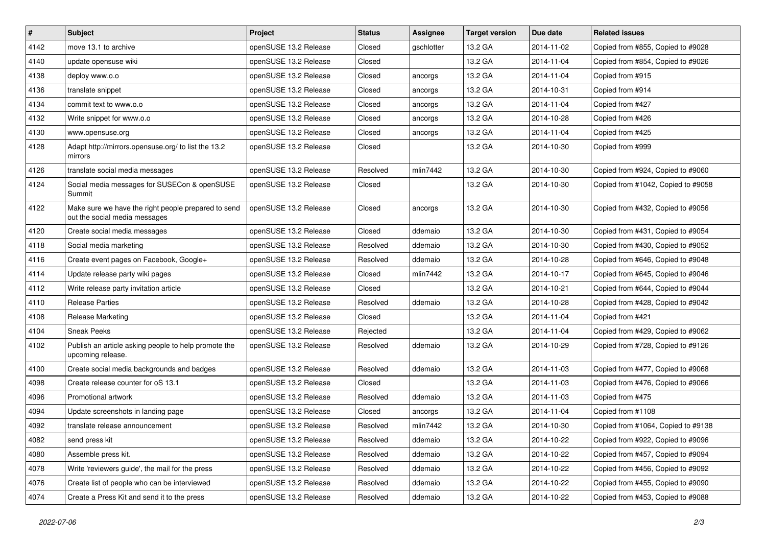| $\vert$ # | Subject                                                                              | Project               | <b>Status</b> | Assignee   | <b>Target version</b> | Due date   | <b>Related issues</b>              |
|-----------|--------------------------------------------------------------------------------------|-----------------------|---------------|------------|-----------------------|------------|------------------------------------|
| 4142      | move 13.1 to archive                                                                 | openSUSE 13.2 Release | Closed        | gschlotter | 13.2 GA               | 2014-11-02 | Copied from #855, Copied to #9028  |
| 4140      | update opensuse wiki                                                                 | openSUSE 13.2 Release | Closed        |            | 13.2 GA               | 2014-11-04 | Copied from #854, Copied to #9026  |
| 4138      | deploy www.o.o                                                                       | openSUSE 13.2 Release | Closed        | ancorgs    | 13.2 GA               | 2014-11-04 | Copied from #915                   |
| 4136      | translate snippet                                                                    | openSUSE 13.2 Release | Closed        | ancorgs    | 13.2 GA               | 2014-10-31 | Copied from #914                   |
| 4134      | commit text to www.o.o                                                               | openSUSE 13.2 Release | Closed        | ancorgs    | 13.2 GA               | 2014-11-04 | Copied from #427                   |
| 4132      | Write snippet for www.o.o                                                            | openSUSE 13.2 Release | Closed        | ancorgs    | 13.2 GA               | 2014-10-28 | Copied from #426                   |
| 4130      | www.opensuse.org                                                                     | openSUSE 13.2 Release | Closed        | ancorgs    | 13.2 GA               | 2014-11-04 | Copied from #425                   |
| 4128      | Adapt http://mirrors.opensuse.org/ to list the 13.2<br>mirrors                       | openSUSE 13.2 Release | Closed        |            | 13.2 GA               | 2014-10-30 | Copied from #999                   |
| 4126      | translate social media messages                                                      | openSUSE 13.2 Release | Resolved      | mlin7442   | 13.2 GA               | 2014-10-30 | Copied from #924, Copied to #9060  |
| 4124      | Social media messages for SUSECon & openSUSE<br>Summit                               | openSUSE 13.2 Release | Closed        |            | 13.2 GA               | 2014-10-30 | Copied from #1042, Copied to #9058 |
| 4122      | Make sure we have the right people prepared to send<br>out the social media messages | openSUSE 13.2 Release | Closed        | ancorgs    | 13.2 GA               | 2014-10-30 | Copied from #432, Copied to #9056  |
| 4120      | Create social media messages                                                         | openSUSE 13.2 Release | Closed        | ddemaio    | 13.2 GA               | 2014-10-30 | Copied from #431, Copied to #9054  |
| 4118      | Social media marketing                                                               | openSUSE 13.2 Release | Resolved      | ddemaio    | 13.2 GA               | 2014-10-30 | Copied from #430, Copied to #9052  |
| 4116      | Create event pages on Facebook, Google+                                              | openSUSE 13.2 Release | Resolved      | ddemaio    | 13.2 GA               | 2014-10-28 | Copied from #646, Copied to #9048  |
| 4114      | Update release party wiki pages                                                      | openSUSE 13.2 Release | Closed        | mlin7442   | 13.2 GA               | 2014-10-17 | Copied from #645, Copied to #9046  |
| 4112      | Write release party invitation article                                               | openSUSE 13.2 Release | Closed        |            | 13.2 GA               | 2014-10-21 | Copied from #644, Copied to #9044  |
| 4110      | <b>Release Parties</b>                                                               | openSUSE 13.2 Release | Resolved      | ddemaio    | 13.2 GA               | 2014-10-28 | Copied from #428, Copied to #9042  |
| 4108      | Release Marketing                                                                    | openSUSE 13.2 Release | Closed        |            | 13.2 GA               | 2014-11-04 | Copied from #421                   |
| 4104      | <b>Sneak Peeks</b>                                                                   | openSUSE 13.2 Release | Rejected      |            | 13.2 GA               | 2014-11-04 | Copied from #429, Copied to #9062  |
| 4102      | Publish an article asking people to help promote the<br>upcoming release.            | openSUSE 13.2 Release | Resolved      | ddemaio    | 13.2 GA               | 2014-10-29 | Copied from #728, Copied to #9126  |
| 4100      | Create social media backgrounds and badges                                           | openSUSE 13.2 Release | Resolved      | ddemaio    | 13.2 GA               | 2014-11-03 | Copied from #477, Copied to #9068  |
| 4098      | Create release counter for oS 13.1                                                   | openSUSE 13.2 Release | Closed        |            | 13.2 GA               | 2014-11-03 | Copied from #476, Copied to #9066  |
| 4096      | Promotional artwork                                                                  | openSUSE 13.2 Release | Resolved      | ddemaio    | 13.2 GA               | 2014-11-03 | Copied from #475                   |
| 4094      | Update screenshots in landing page                                                   | openSUSE 13.2 Release | Closed        | ancorgs    | 13.2 GA               | 2014-11-04 | Copied from #1108                  |
| 4092      | translate release announcement                                                       | openSUSE 13.2 Release | Resolved      | mlin7442   | 13.2 GA               | 2014-10-30 | Copied from #1064, Copied to #9138 |
| 4082      | send press kit                                                                       | openSUSE 13.2 Release | Resolved      | ddemaio    | 13.2 GA               | 2014-10-22 | Copied from #922, Copied to #9096  |
| 4080      | Assemble press kit.                                                                  | openSUSE 13.2 Release | Resolved      | ddemaio    | 13.2 GA               | 2014-10-22 | Copied from #457, Copied to #9094  |
| 4078      | Write 'reviewers guide', the mail for the press                                      | openSUSE 13.2 Release | Resolved      | ddemaio    | 13.2 GA               | 2014-10-22 | Copied from #456, Copied to #9092  |
| 4076      | Create list of people who can be interviewed                                         | openSUSE 13.2 Release | Resolved      | ddemaio    | 13.2 GA               | 2014-10-22 | Copied from #455, Copied to #9090  |
| 4074      | Create a Press Kit and send it to the press                                          | openSUSE 13.2 Release | Resolved      | ddemaio    | 13.2 GA               | 2014-10-22 | Copied from #453, Copied to #9088  |